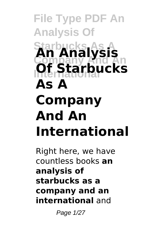# **File Type PDF An Analysis Of Starbucks As A An Analysis Company And An International Of Starbucks As A Company And An International**

Right here, we have countless books **an analysis of starbucks as a company and an international** and

Page 1/27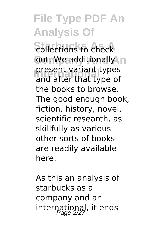**Sollections to check Out. We additionally n International present variant types**<br>and after that type of and after that type of the books to browse. The good enough book, fiction, history, novel, scientific research, as skillfully as various other sorts of books are readily available here.

As this an analysis of starbucks as a company and an international, it ends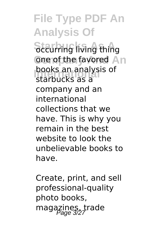**File Type PDF An Analysis Of Sceurring living thing** one of the favored An **books an analysis of**<br>starbucks as a starbucks as a company and an international collections that we have. This is why you remain in the best website to look the unbelievable books to have.

Create, print, and sell professional-quality photo books, magazines, trade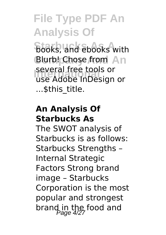**books**, and ebooks with Blurb! Chose from An **International** use Adobe InDesign or several free tools or ...\$this\_title.

#### **An Analysis Of Starbucks As**

The SWOT analysis of Starbucks is as follows: Starbucks Strengths – Internal Strategic Factors Strong brand image – Starbucks Corporation is the most popular and strongest brand in the food and<br>Page 4/27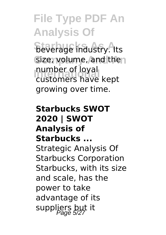**Beverage industry.** Its Size, volume, and then number of loyal<br>Customers have customers have kept growing over time.

#### **Starbucks SWOT 2020 | SWOT Analysis of Starbucks ...** Strategic Analysis Of Starbucks Corporation Starbucks, with its size and scale, has the power to take advantage of its suppliers but it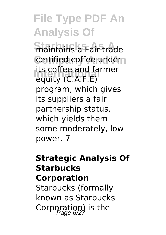**Staintains a Fair trade Certified coffee under International** equity (C.A.F.E) its coffee and farmer program, which gives its suppliers a fair partnership status, which yields them some moderately, low power. 7

### **Strategic Analysis Of Starbucks Corporation** Starbucks (formally

known as Starbucks Corporation) is the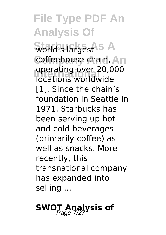**Starbucks As A** world's largest **Coffeehouse chain, An International** locations worldwide operating over 20,000 [1]. Since the chain's foundation in Seattle in 1971, Starbucks has been serving up hot and cold beverages (primarily coffee) as well as snacks. More recently, this transnational company has expanded into selling ...

### **SWOT Analysis of**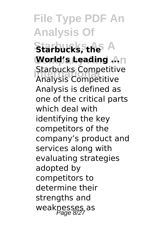**Starbucks, the A World's Leading ... International** Analysis Competitive Starbucks Competitive Analysis is defined as one of the critical parts which deal with identifying the key competitors of the company's product and services along with evaluating strategies adopted by competitors to determine their strengths and weaknesses as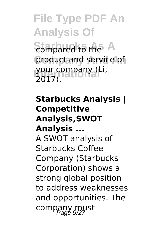**File Type PDF An Analysis Of Sompared to the A** product and service of **International** your company (Li, 2017).

**Starbucks Analysis | Competitive Analysis,SWOT Analysis ...** A SWOT analysis of Starbucks Coffee Company (Starbucks Corporation) shows a strong global position to address weaknesses and opportunities. The company must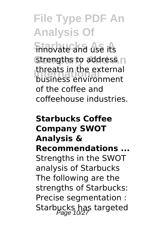**innovate and use its** strengths to address n **International** business environment threats in the external of the coffee and coffeehouse industries.

#### **Starbucks Coffee Company SWOT Analysis & Recommendations ...** Strengths in the SWOT analysis of Starbucks The following are the strengths of Starbucks: Precise segmentation : Starbucks has targeted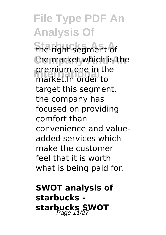the right segment of the market which is the **International** market.In order to premium one in the target this segment. the company has focused on providing comfort than convenience and valueadded services which make the customer feel that it is worth what is being paid for.

**SWOT analysis of starbucks**  starbucks **SWOT**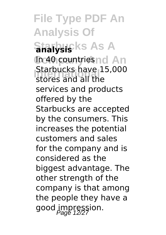**File Type PDF An Analysis Of Starbucks As A In 40 countries nd An International** stores and all the Starbucks have 15,000 services and products offered by the Starbucks are accepted by the consumers. This increases the potential customers and sales for the company and is considered as the biggest advantage. The other strength of the company is that among the people they have a good impression.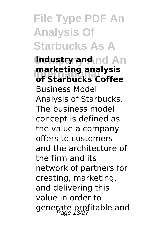### **File Type PDF An Analysis Of Starbucks As A**

**Industry and nd An Marketing analysis**<br>
of Starbucks Coffee **of Starbucks Coffee** Business Model Analysis of Starbucks. The business model concept is defined as the value a company offers to customers and the architecture of the firm and its network of partners for creating, marketing, and delivering this value in order to generate profitable and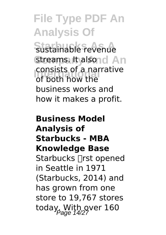Sustainable revenue **streams. It alsond An International** of both how the consists of a narrative business works and how it makes a profit.

#### **Business Model Analysis of Starbucks - MBA Knowledge Base** Starbucks rst opened in Seattle in 1971 (Starbucks, 2014) and has grown from one store to 19,767 stores today, With over 160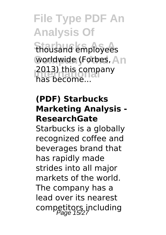**Starbucks As A** thousand employees worldwide (Forbes, An 2013) this company has become...

#### **(PDF) Starbucks Marketing Analysis - ResearchGate**

Starbucks is a globally recognized coffee and beverages brand that has rapidly made strides into all major markets of the world. The company has a lead over its nearest competitors including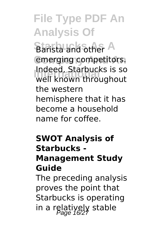**Barista and other A** emerging competitors. **International** well known throughout Indeed, Starbucks is so the western hemisphere that it has become a household name for coffee.

#### **SWOT Analysis of Starbucks - Management Study Guide**

The preceding analysis proves the point that Starbucks is operating in a relatively stable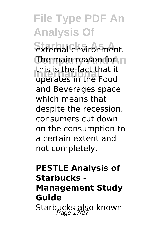**Starhal environment. The main reason for h International** operates in the Food this is the fact that it and Beverages space which means that despite the recession, consumers cut down on the consumption to a certain extent and not completely.

### **PESTLE Analysis of Starbucks - Management Study Guide** Starbucks also known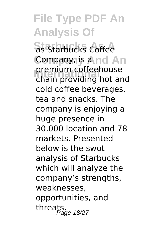**Starbucks Coffee** Company, is a nd An **International** chain providing hot and premium coffeehouse cold coffee beverages, tea and snacks. The company is enjoying a huge presence in 30,000 location and 78 markets. Presented below is the swot analysis of Starbucks which will analyze the company's strengths, weaknesses, opportunities, and threats.<br>threats.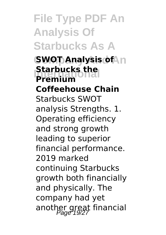**File Type PDF An Analysis Of Starbucks As A**

**SWOT Analysis of An International Premium Coffeehouse Chain** Starbucks SWOT analysis Strengths. 1. Operating efficiency and strong growth leading to superior financial performance. 2019 marked continuing Starbucks growth both financially and physically. The company had yet another great financial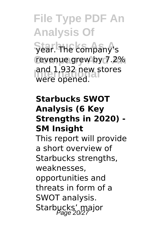**File Type PDF An Analysis Of** year. The company's revenue grew by 7.2% and 1,932 new stores were opened.

#### **Starbucks SWOT Analysis (6 Key Strengths in 2020) - SM Insight**

This report will provide a short overview of Starbucks strengths, weaknesses, opportunities and threats in form of a SWOT analysis. Starbucks' major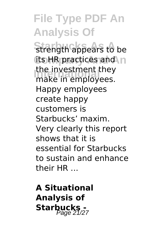**Strength appears to be** its HR practices and n the investment they<br>make in employees make in employees. Happy employees create happy customers is Starbucks' maxim. Very clearly this report shows that it is essential for Starbucks to sustain and enhance their HR ...

**A Situational Analysis of Starbucks -**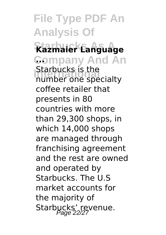### **File Type PDF An Analysis Of Starbucks As A Kazmaier Language Company And An ... International Stationals**<br> **International Specialty** Starbucks is the coffee retailer that presents in 80 countries with more than 29,300 shops, in which 14,000 shops are managed through franchising agreement and the rest are owned and operated by Starbucks. The U.S market accounts for the majority of

Starbucks' revenue.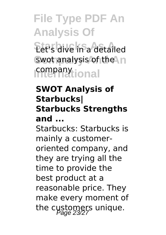**Starbucks As A** Let's dive in a detailed swot analysis of the **In International** company

#### **SWOT Analysis of Starbucks| Starbucks Strengths and ...**

Starbucks: Starbucks is mainly a customeroriented company, and they are trying all the time to provide the best product at a reasonable price. They make every moment of the customers unique.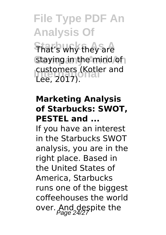**That's why they are** Staying in the mind of **International Customers (Kotler and** Lee, 2017).

#### **Marketing Analysis of Starbucks: SWOT, PESTEL and ...**

If you have an interest in the Starbucks SWOT analysis, you are in the right place. Based in the United States of America, Starbucks runs one of the biggest coffeehouses the world over. And despite the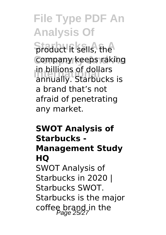**Staduct it sells, the Company keeps raking** In billions of dollars<br>
annually. Starbucks is in billions of dollars a brand that's not afraid of penetrating any market.

### **SWOT Analysis of Starbucks - Management Study HQ** SWOT Analysis of Starbucks in 2020 | Starbucks SWOT. Starbucks is the major coffee brand in the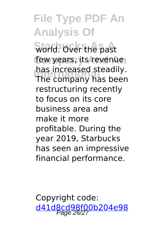**World.** Over the past few years, its revenue **International** The company has been has increased steadily. restructuring recently to focus on its core business area and make it more profitable. During the year 2019, Starbucks has seen an impressive financial performance.

Copyright code: [d41d8cd98f00b204e98](/sitemap.xml)